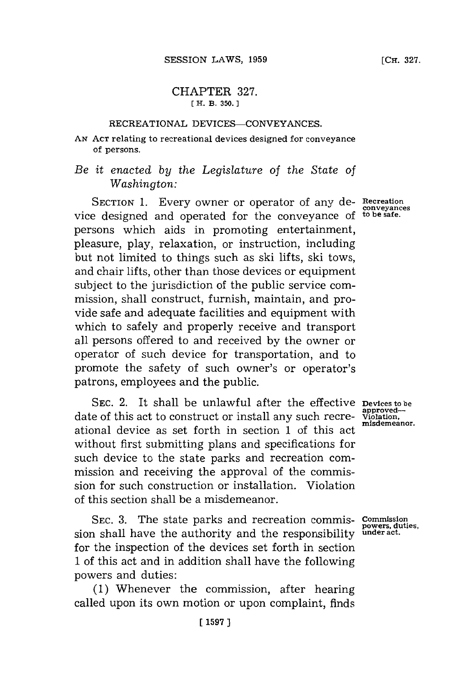## CHAPTER **327. [ H. B. 350.**

## RECREATIONAL **DEVICES-CONVEYANCES.**

**AN ACT** relating to recreational devices designed for conveyance of persons.

*Be it enacted by the Legislature of the State of Washington:*

SECTION **1.** Every owner or operator of any de- **Recreation** vice designed and operated for the conveyance of persons which aids in promoting entertainment, pleasure, play, relaxation, or instruction, including but not limited to things such as ski lifts, ski tows, and chair lifts, other than those devices or equipment subject to the jurisdiction of the public service commission, shall construct, furnish, maintain, and provide safe and adequate facilities and equipment with which to safely and properly receive and transport all persons offered to and received **by** the owner or operator of such device for transportation, and to promote the safety of such owner's or operator's patrons, employees and the public.

**SEC.** 2. It shall be unlawful after the effective **Devices to be** date of this act to construct or install any such recre-  $\frac{\text{approx}-\text{error}}{\text{misation}}$ ational device as set forth in section 1 of this act without first submitting plans and specifications for such device to the state parks and recreation commission and receiving the approval of the commission for such construction or installation. Violation of this section shall be a misdemeanor.

SEC. 3. The state parks and recreation commis- **Commission**<br>a shall have the authority and the responsibility under act. sion shall have the authority and the responsibility for the inspection of the devices set forth in section **1** of this act and in addition shall have the following powers and duties:

**(1)** Whenever the commission, after hearing called upon its own motion or upon complaint, finds

approved-<br>Violation,

**conveyances**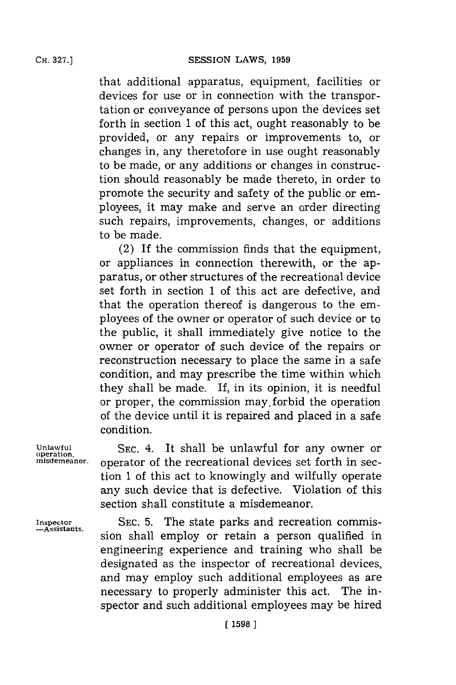that additional apparatus, equipment, facilities or devices for use or in connection with the transportation or conveyance of persons upon the devices set forth in section **1** of this act, ought reasonably to be provided, or any repairs or improvements to, or changes in, any theretofore in use ought reasonably to be made, or any additions or changes in construction should reasonably be made thereto, in order to promote the security and safety of the public or employees, it may make and serve an order directing such repairs, improvements, changes, or additions to be made.

(2) If the commission finds that the equipment, or appliances in connection therewith, or the apparatus, or other structures of the recreational device set forth in section 1 of this act are defective, and that the operation thereof is dangerous to the employees of the owner or operator of such device or to the public, it shall immediately give notice to the owner or operator of such device of the repairs or reconstruction necessary to place the same in a safe condition, and may prescribe the time within which they shall be made. If, in its opinion, it is needful or proper, the commission may.forbid the operation of the device until it is repaired and placed in a safe condition.

Unlawful SEC. 4. It shall be unlawful for any owner or **operation**, SEC. 4. It shall be unlawful for any owner or operator of the recreational devices set forth in section **1** of this act to knowingly and wilfully operate any such device that is defective. Violation of this section shall constitute a misdemeanor.

**inspector SEC. 5.** The state parks and recreation commis sion shall employ or retain a person qualified in engineering experience and training who shall be designated as the inspector of recreational devices, and may employ such additional employees as are necessary to properly administer this act. The inspector and such additional employees may be hired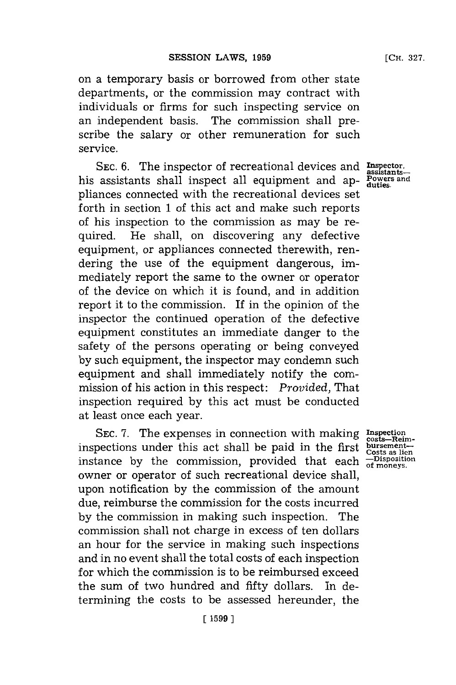on a temporary basis or borrowed from other state departments, or the commission may contract with individuals or firms for such inspecting service on an independent basis. The commission shall prescribe the salary or other remuneration for such service.

**SEC. 6.** The inspector of recreational devices and **Inpector, assitants**his assistants shall inspect all equipment and ap- **Powers and** pliances connected with the recreational devices set forth in section **1** of this act and make such reports of his inspection to the commission as may be required. He shall, on discovering any defective equipment, or appliances connected therewith, rendering the use of the equipment dangerous, immediately report the same to the owner or operator of the device on which it is found, and in addition report it to the commission. If in the opinion of the inspector the continued operation of the defective equipment constitutes an immediate danger to the safety of the persons operating or being conveyed **by** such equipment, the inspector may condemn such equipment and shall immediately notify the commission of his action in this respect: *Provided,* That inspection required **by** this act must be conducted at least once each year.

SEC. 7. The expenses in connection with making **Inspection**<br>inspections under this act shall be paid in the first **bursement**inspections under this act shart be paid in the Hist costs as lies<br>instance by the commission, provided that each  $\frac{-\text{Dispostistic}}{\text{of } \text{nonseys}}}$ . owner or operator of such recreational device shall, upon notification **by** the commission of the amount due, reimburse the commission **for** the costs incurred **by** the commission in making such inspection. The commission shall not charge in excess of ten dollars an hour for the service in making such inspections and in no event shall the total costs of each inspection **for** which the commission is to be reimbursed exceed the sum of two hundred and fifty dollars. In determining the costs to be assessed hereunder, the